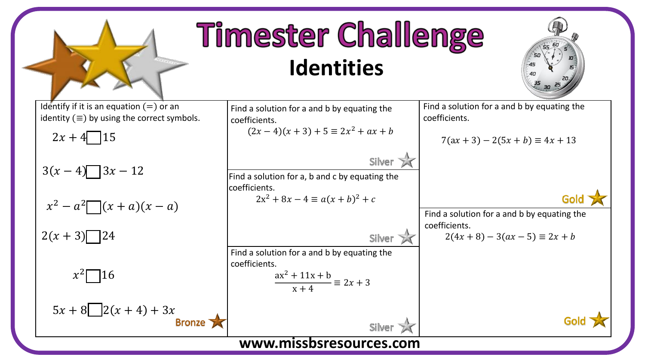

## **Timester Challenge Identities**